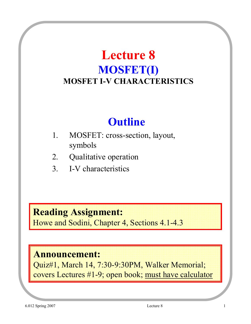## **Lecture 8 MOSFET(I) MOSFET I-V CHARACTERISTICS**

## **Outline**

- 1. MOSFET: cross-section, layout, symbols
- 2. Qualitative operation
- 3. I-V characteristics

#### **Reading Assignment:**

Howe and Sodini, Chapter 4, Sections 4.1-4.3

#### **Announcement:**

Quiz#1, March 14, 7:30-9:30PM, Walker Memorial; covers Lectures #1-9; open book; must have calculator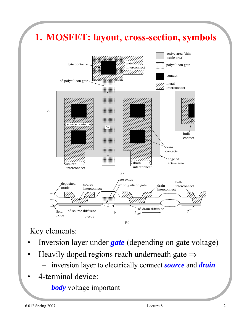

#### Key elements:

- Inversion layer under *gate* (depending on gate voltage)
- Heavily doped regions reach underneath gate  $\Rightarrow$ 
	- inversion layer to electrically connect *source* and *drain*
- 4-terminal device:
	- *body* voltage important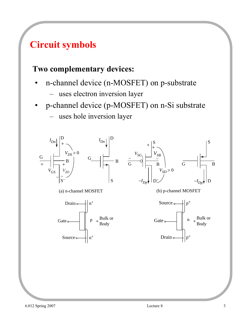### **Circuit symbols**

#### **Two complementary devices:**

- n-channel device (n-MOSFET) on p-substrate
	- uses electron inversion layer
- p-channel device (p-MOSFET) on n-Si substrate – uses hole inversion layer

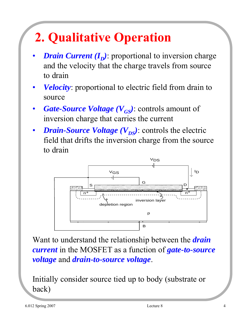# **2. Qualitative Operation**

- *Drain Current*  $(I_p)$ : proportional to inversion charge and the velocity that the charge travels from source to drain
- *Velocity*: proportional to electric field from drain to source
- **Gate-Source Voltage** ( $V_{GS}$ ): controls amount of inversion charge that carries the current
- *Drain-Source Voltage* ( $V_{DS}$ ): controls the electric field that drifts the inversion charge from the source to drain



Want to understand the relationship between the *drain current* in the MOSFET as a function of *gate-to-source voltage* and *drain-to-source voltage*.

Initially consider source tied up to body (substrate or back)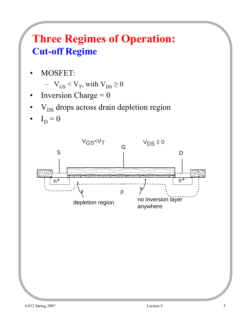## **Three Regimes of Operation: Cut-off Regime**

• MOSFET:

$$
- V_{GS} < V_T
$$
, with  $V_{DS} \ge 0$ 

- Inversion Charge  $= 0$
- $V_{DS}$  drops across drain depletion region
- $I_D = 0$

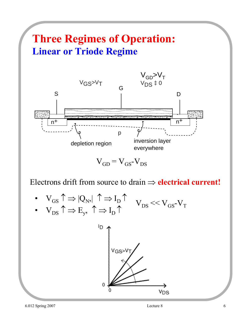## **Three Regimes of Operation: Linear or Triode Regime**



 $V_{GD} = V_{GS} - V_{DS}$ 

Electrons drift from source to drain ⇒ **electrical current!**

• 
$$
V_{GS} \uparrow \Rightarrow |Q_N| \uparrow \Rightarrow I_D \uparrow
$$
  
\n•  $V_{DS} \uparrow \Rightarrow E_y, \uparrow \Rightarrow I_D \uparrow$   $V_{DS} \ll V_{GS} \cdot V_T$ 

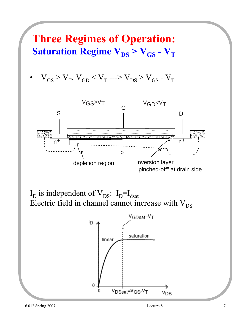### **Three Regimes of Operation: Saturation Regime**  $V_{DS} > V_{GS} - V_T$  $V_{GS} > V_T$ ,  $V_{GD} < V_T$  --->  $V_{DS} > V_{GS}$  -  $V_T$ VGS>VT VGD<VT G S D Ā, n+ n+ p inversion layer depletion region "pinched-off" at drain side

 $I_D$  is independent of  $V_{DS}$ :  $I_D=I_{dsat}$ Electric field in channel cannot increase with  $V_{DS}$ 

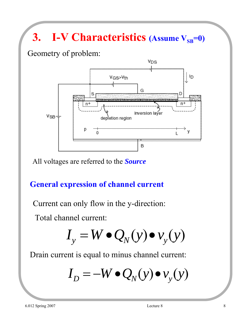# **3.** I-V Characteristics (Assume  $V_{SB}=0$ )

Geometry of problem:



All voltages are referred to the *Source*

#### **General expression of channel current**

Current can only flow in the y-direction:

Total channel current:

$$
I_{y} = W \bullet Q_{N}(y) \bullet v_{y}(y)
$$

Drain current is equal to minus channel current:

$$
I_D = -W \bullet Q_N(y) \bullet v_y(y)
$$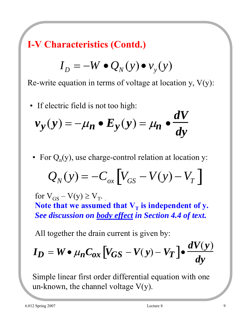**I-V Characteristics (Contd.)**

$$
I_D = -W \bullet Q_N(y) \bullet v_y(y)
$$

Re-write equation in terms of voltage at location y,  $V(y)$ :

• If electric field is not too high:

$$
v_y(y) = -\mu_n \bullet E_y(y) = \mu_n \bullet \frac{dV}{dy}
$$

• For  $Q_n(y)$ , use charge-control relation at location y:

$$
Q_N(y) = -C_{ox} \left[ V_{GS} - V(y) - V_T \right]
$$

for  $V_{GS} - V(y) \ge V_{T}$ .

Note that we assumed that  $V_T$  is independent of y. *See discussion on body effect in Section 4.4 of text.*

All together the drain current is given by:

$$
I_D = W \bullet \mu_n C_{ox} \left[ V_{GS} - V(y) - V_T \right] \bullet \frac{dV(y)}{dy}
$$

Simple linear first order differential equation with one un-known, the channel voltage  $V(y)$ .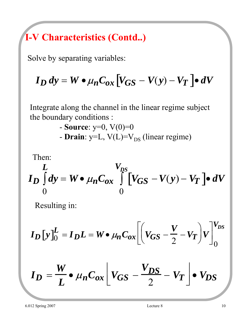## **I-V Characteristics (Contd..)**

Solve by separating variables:

$$
I_D dy = W \bullet \mu_n C_{ox} \left[ V_{GS} - V(y) - V_T \right] \bullet dV
$$

Integrate along the channel in the linear regime subject the boundary conditions :

- Source: 
$$
y=0
$$
,  $V(0)=0$   
- **Drain**:  $y=L$ ,  $V(L)=V_{DS}$  (linear regime)

Then:

$$
I_D \int_0^L dy = W \bullet \mu_n C_{ox} \int_0^V [V_{GS} - V(y) - V_T] \bullet dV
$$

Resulting in:

$$
I_{D}[y]_{0}^{L} = I_{D}L = W \bullet \mu_{n} C_{ox} \left[ \left( V_{GS} - \frac{V}{2} - V_{T} \right) V \right]_{0}^{V_{DS}}
$$

$$
I_D = \frac{W}{L} \bullet \mu_n C_{ox} \left[ V_{GS} - \frac{V_{DS}}{2} - V_T \right] \bullet V_{DS}
$$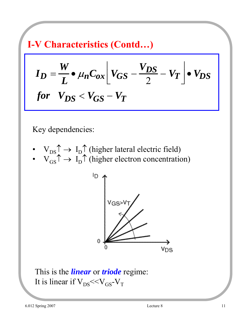**I-V Characteristics (Contd…)**

$$
I_D = \frac{W}{L} \cdot \mu_n C_{ox} \left[ V_{GS} - \frac{V_{DS}}{2} - V_T \right] \cdot V_{DS}
$$
  
for  $V_{DS} < V_{GS} - V_T$ 

Key dependencies:

- $V_{DS} \uparrow \rightarrow I_D \uparrow$  (higher lateral electric field)
- $V_{GS} \uparrow \rightarrow I_D \uparrow$  (higher electron concentration)



This is the *linear* or *triode* regime: It is linear if  $V_{DS} \ll V_{GS} - V_T$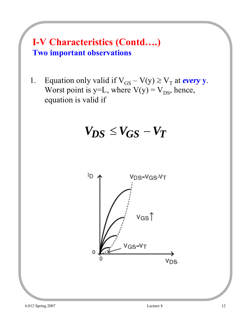#### **I-V Characteristics (Contd….) Two important observations**

1. Equation only valid if  $V_{GS} - V(y) \ge V_T$  at *every* y. Worst point is y=L, where  $V(y) = V_{DS}$ , hence, equation is valid if

$$
V_{DS} \leq V_{GS} - V_T
$$

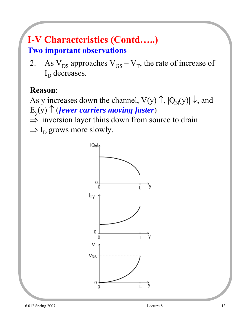## **I-V Characteristics (Contd…..)**

#### **Two important observations**

2. As  $V_{DS}$  approaches  $V_{GS} - V_T$ , the rate of increase of  $I_D$  decreases.

#### **Reason**:

As y increases down the channel,  $V(y) \uparrow$ ,  $|Q_N(y)| \downarrow$ , and Ey(y) ↑ (*fewer carriers moving faster*)  $\Rightarrow$  inversion layer thins down from source to drain

 $\Rightarrow$  I<sub>D</sub> grows more slowly.

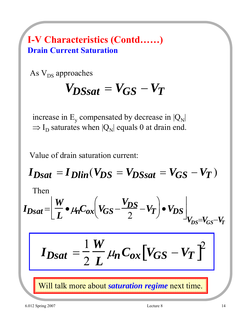#### **I-V Characteristics (Contd……) Drain Current Saturation**

As  $V_{DS}$  approaches

$$
V_{DSsat} = V_{GS} - V_T
$$

increase in  $E_y$  compensated by decrease in  $|Q_N|$  $\Rightarrow$  I<sub>D</sub> saturates when  $|Q_N|$  equals 0 at drain end.

Value of drain saturation current:

$$
I_{Dsat} = I_{Dlin}(V_{DS} = V_{DSsat} = V_{GS} - V_T)
$$

Then

$$
I_{Dsat} = \left[ \frac{W}{L} \cdot \mu_n C_{ox} \left( V_{GS} - \frac{V_{DS}}{2} - V_T \right) \cdot V_{DS} \right]_{V_{DS} = V_{GS} - V_T}
$$

$$
I_{Dsat} = \frac{1}{2} \frac{W}{L} \mu_n C_{ox} \left[ V_{GS} - V_T \right]^2
$$

Will talk more about *saturation regime* next time.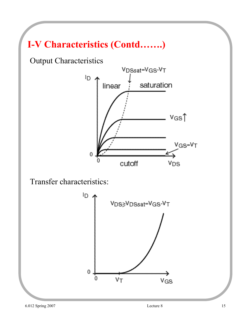## **I-V Characteristics (Contd…….)**

Output Characteristics



Transfer characteristics:

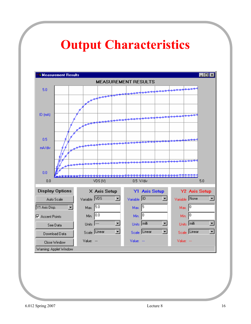## **Output Characteristics**